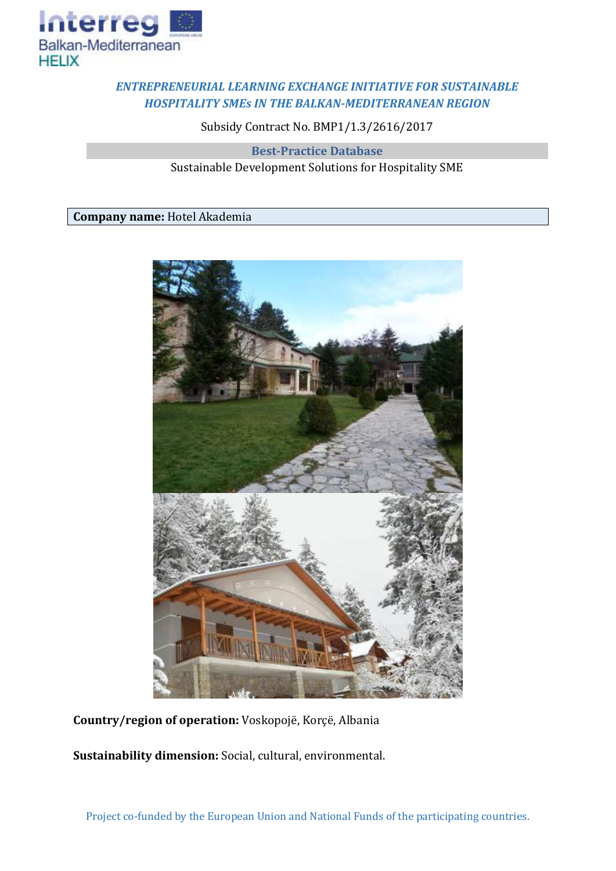

## *ENTREPRENEURIAL LEARNING EXCHANGE INITIATIVE FOR SUSTAINABLE HOSPITALITY SMEs IN THE BALKAN-MEDITERRANEAN REGION*

Subsidy Contract No. BMP1/1.3/2616/2017

**Best-Practice Database** Sustainable Development Solutions for Hospitality SME

**Company name:** Hotel Akademia



**Country/region of operation:** Voskopojë, Korçë, Albania

**Sustainability dimension:** Social, cultural, environmental.

Project co-funded by the European Union and National Funds of the participating countries.